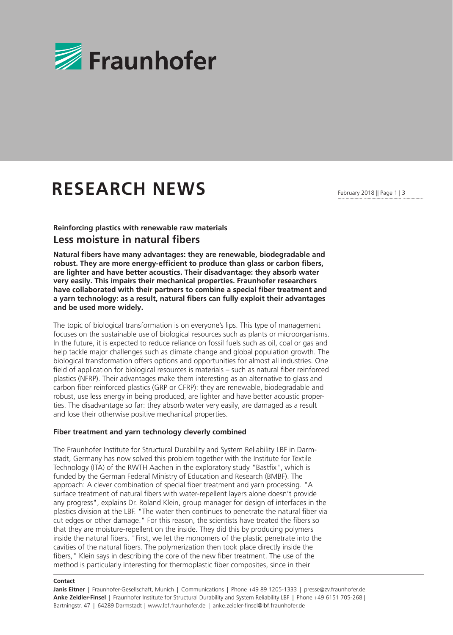

# **RESEARCH NEWS**

# **Reinforcing plastics with renewable raw materials Less moisture in natural fibers**

**Natural fibers have many advantages: they are renewable, biodegradable and robust. They are more energy-efficient to produce than glass or carbon fibers, are lighter and have better acoustics. Their disadvantage: they absorb water very easily. This impairs their mechanical properties. Fraunhofer researchers have collaborated with their partners to combine a special fiber treatment and a yarn technology: as a result, natural fibers can fully exploit their advantages and be used more widely.** 

The topic of biological transformation is on everyone's lips. This type of management focuses on the sustainable use of biological resources such as plants or microorganisms. In the future, it is expected to reduce reliance on fossil fuels such as oil, coal or gas and help tackle major challenges such as climate change and global population growth. The biological transformation offers options and opportunities for almost all industries. One field of application for biological resources is materials – such as natural fiber reinforced plastics (NFRP). Their advantages make them interesting as an alternative to glass and carbon fiber reinforced plastics (GRP or CFRP): they are renewable, biodegradable and robust, use less energy in being produced, are lighter and have better acoustic properties. The disadvantage so far: they absorb water very easily, are damaged as a result and lose their otherwise positive mechanical properties.

## **Fiber treatment and yarn technology cleverly combined**

The Fraunhofer Institute for Structural Durability and System Reliability LBF in Darmstadt, Germany has now solved this problem together with the Institute for Textile Technology (ITA) of the RWTH Aachen in the exploratory study "Bastfix", which is funded by the German Federal Ministry of Education and Research (BMBF). The approach: A clever combination of special fiber treatment and yarn processing. "A surface treatment of natural fibers with water-repellent layers alone doesn't provide any progress", explains Dr. Roland Klein, group manager for design of interfaces in the plastics division at the LBF. "The water then continues to penetrate the natural fiber via cut edges or other damage." For this reason, the scientists have treated the fibers so that they are moisture-repellent on the inside. They did this by producing polymers inside the natural fibers. "First, we let the monomers of the plastic penetrate into the cavities of the natural fibers. The polymerization then took place directly inside the fibers," Klein says in describing the core of the new fiber treatment. The use of the method is particularly interesting for thermoplastic fiber composites, since in their

### **Contact**

Janis Eitner | Fraunhofer-Gesellschaft, Munich | Communications | Phone +49 89 1205-1333 | presse@zv.fraunhofer.de **Anke Zeidler-Finsel** | Fraunhofer Institute for Structural Durability and System Reliability LBF | Phone +49 6151 705-268 | Bartningstr. 47 | 64289 Darmstadt | www.lbf.fraunhofer.de | anke.zeidler-finsel@lbf.fraunhofer.de

February 2018 || Page 1 | 3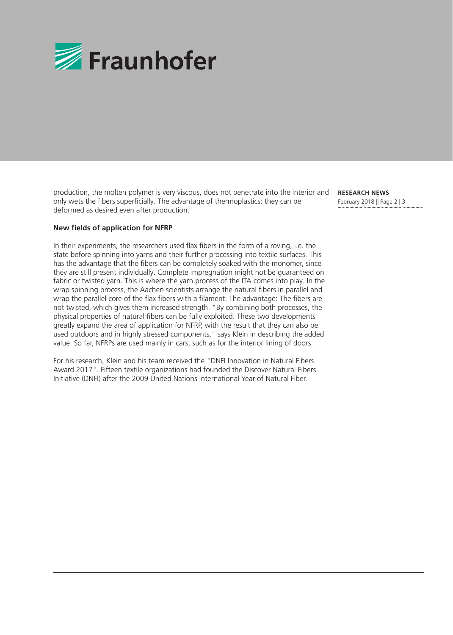

production, the molten polymer is very viscous, does not penetrate into the interior and only wets the fibers superficially. The advantage of thermoplastics: they can be deformed as desired even after production.

**RESEARCH NEWS**  February 2018 || Page 2 | 3

# **New fields of application for NFRP**

In their experiments, the researchers used flax fibers in the form of a roving, i.e. the state before spinning into yarns and their further processing into textile surfaces. This has the advantage that the fibers can be completely soaked with the monomer, since they are still present individually. Complete impregnation might not be guaranteed on fabric or twisted yarn. This is where the yarn process of the ITA comes into play. In the wrap spinning process, the Aachen scientists arrange the natural fibers in parallel and wrap the parallel core of the flax fibers with a filament. The advantage: The fibers are not twisted, which gives them increased strength. "By combining both processes, the physical properties of natural fibers can be fully exploited. These two developments greatly expand the area of application for NFRP, with the result that they can also be used outdoors and in highly stressed components," says Klein in describing the added value. So far, NFRPs are used mainly in cars, such as for the interior lining of doors.

For his research, Klein and his team received the "DNFI Innovation in Natural Fibers Award 2017". Fifteen textile organizations had founded the Discover Natural Fibers Initiative (DNFI) after the 2009 United Nations International Year of Natural Fiber.